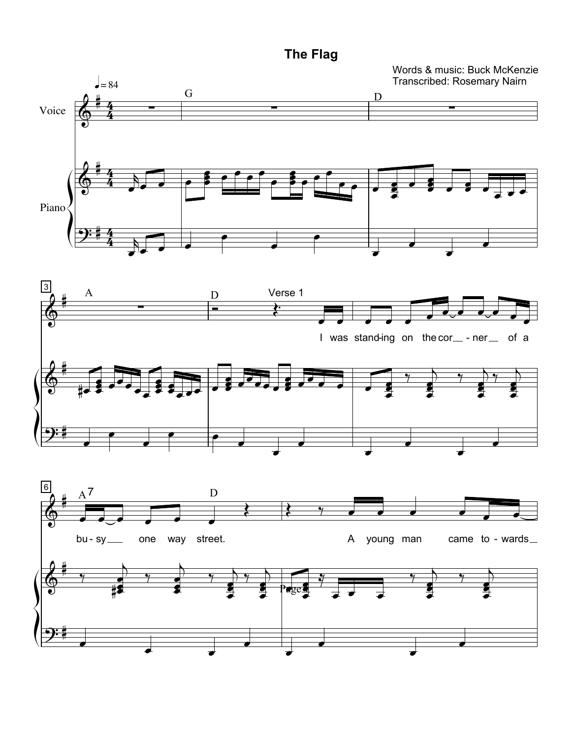**The Flag** 

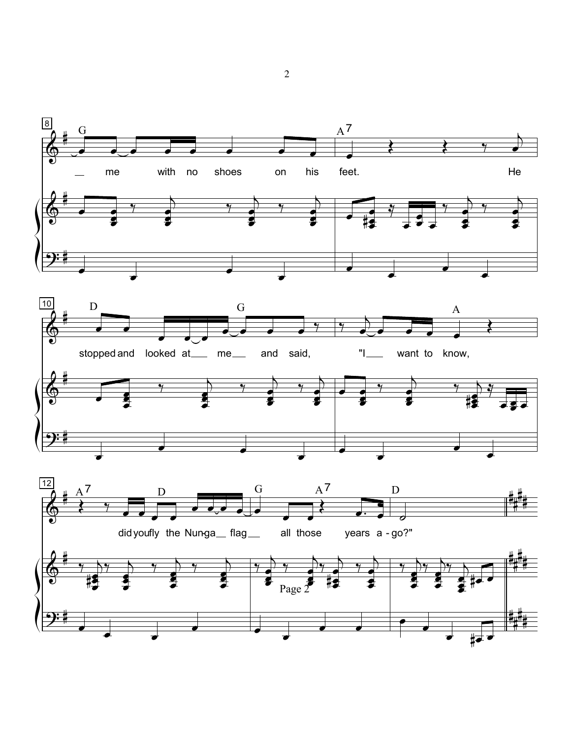

 $\overline{2}$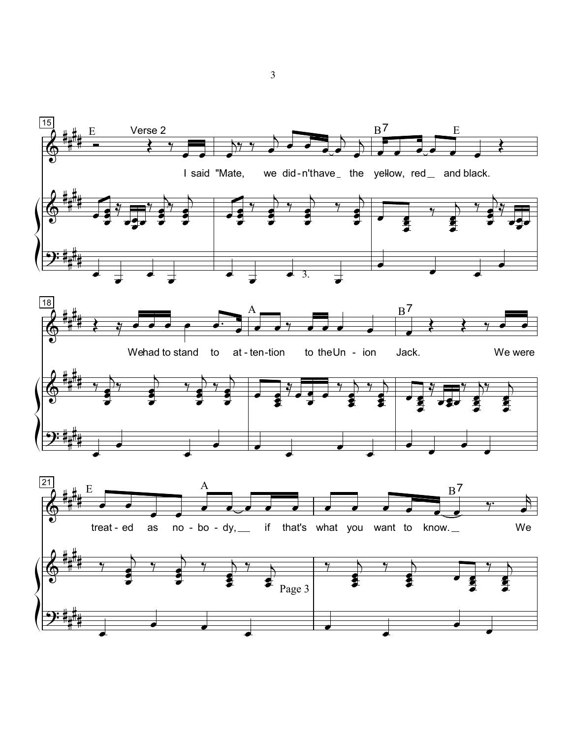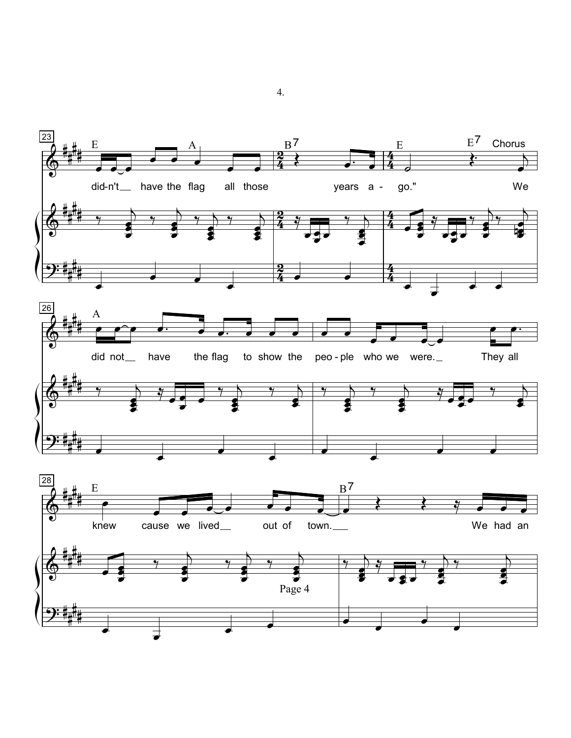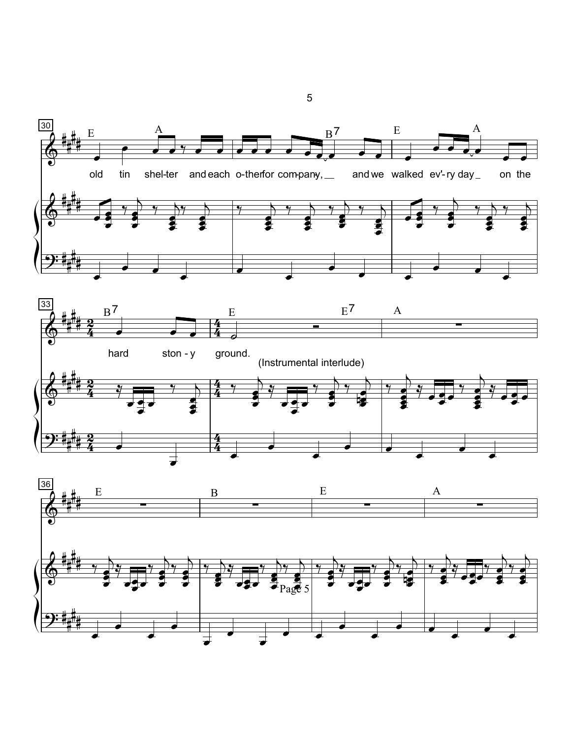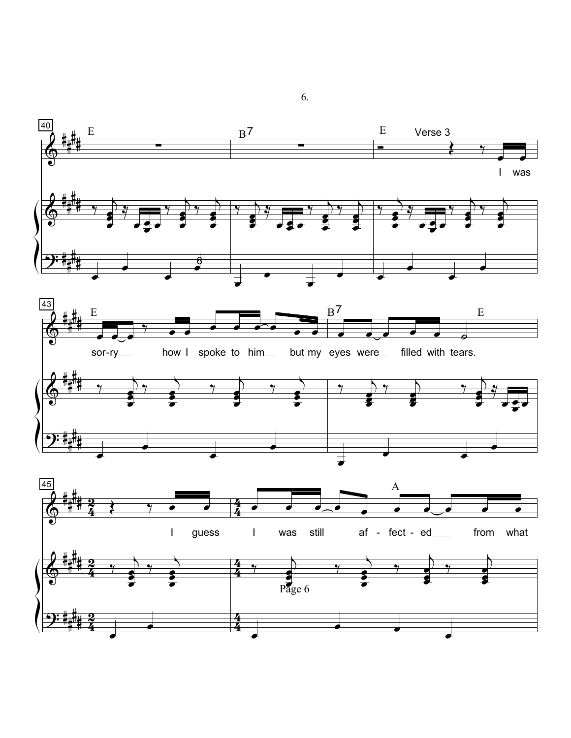

6.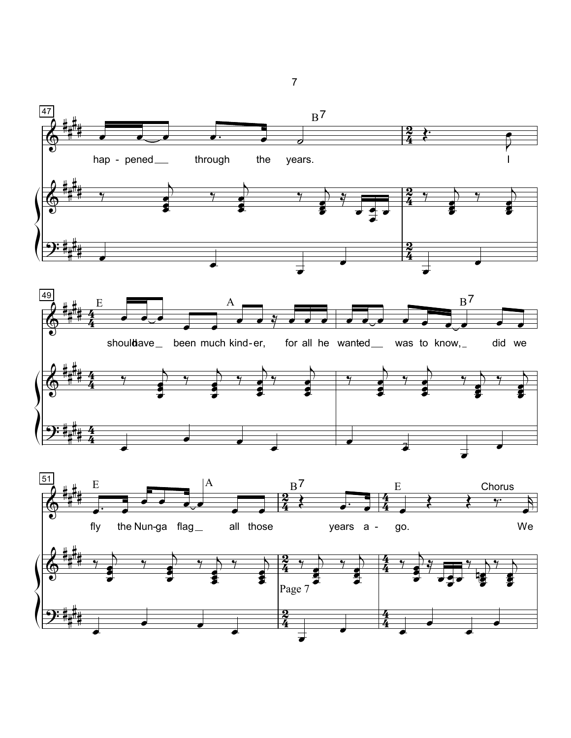

 $\overline{7}$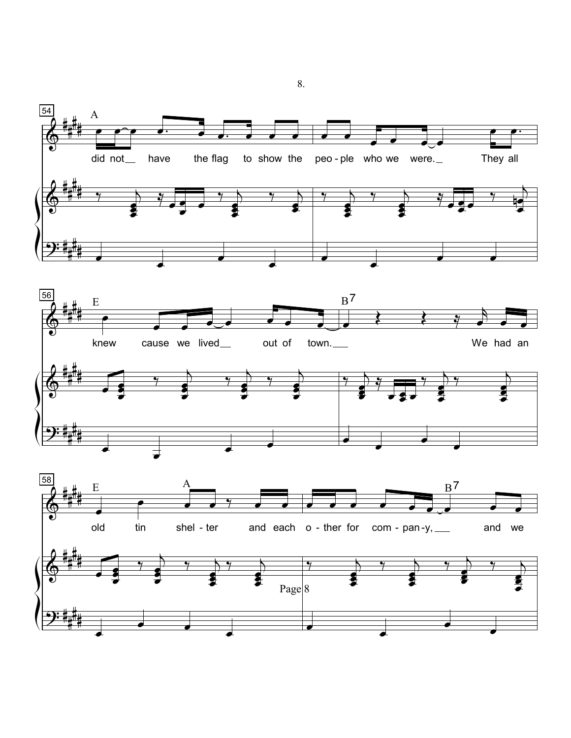

8.